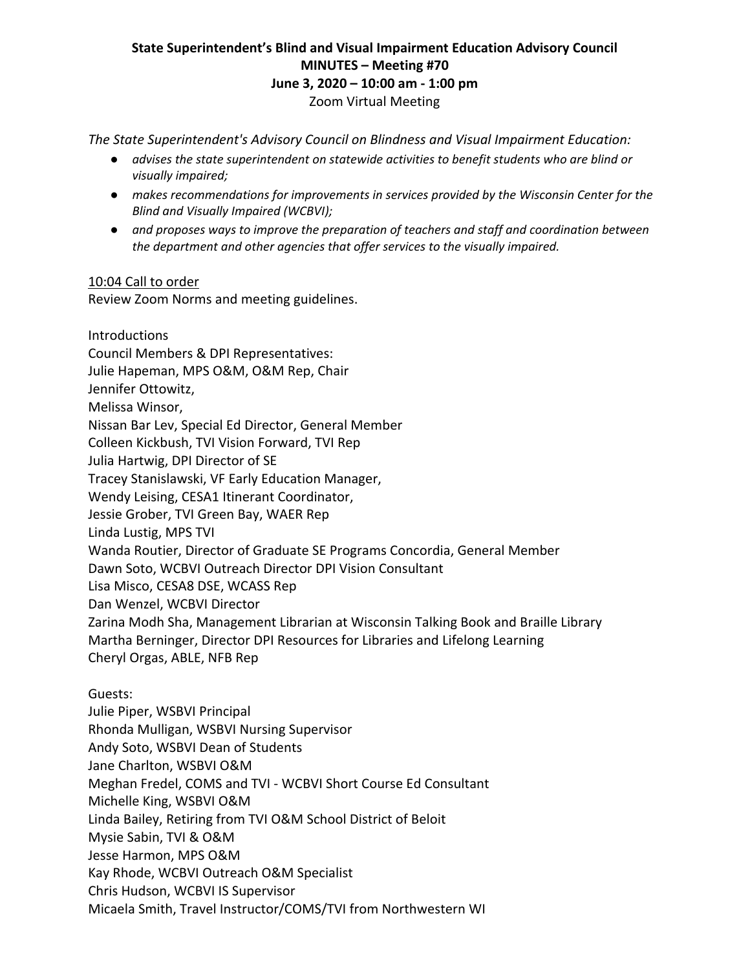## **State Superintendent's Blind and Visual Impairment Education Advisory Council MINUTES – Meeting #70 June 3, 2020 – 10:00 am ‐ 1:00 pm** Zoom Virtual Meeting

*The State Superintendent's Advisory Council on Blindness and Visual Impairment Education:* 

- *advises the state superintendent on statewide activities to benefit students who are blind or visually impaired;*
- *makes recommendations for improvements in services provided by the Wisconsin Center for the Blind and Visually Impaired (WCBVI);*
- *and proposes ways to improve the preparation of teachers and staff and coordination between the department and other agencies that offer services to the visually impaired.*

#### 10:04 Call to order

Review Zoom Norms and meeting guidelines.

Introductions Council Members & DPI Representatives: Julie Hapeman, MPS O&M, O&M Rep, Chair Jennifer Ottowitz, Melissa Winsor, Nissan Bar Lev, Special Ed Director, General Member Colleen Kickbush, TVI Vision Forward, TVI Rep Julia Hartwig, DPI Director of SE Tracey Stanislawski, VF Early Education Manager, Wendy Leising, CESA1 Itinerant Coordinator, Jessie Grober, TVI Green Bay, WAER Rep Linda Lustig, MPS TVI Wanda Routier, Director of Graduate SE Programs Concordia, General Member Dawn Soto, WCBVI Outreach Director DPI Vision Consultant Lisa Misco, CESA8 DSE, WCASS Rep Dan Wenzel, WCBVI Director Zarina Modh Sha, Management Librarian at Wisconsin Talking Book and Braille Library Martha Berninger, Director DPI Resources for Libraries and Lifelong Learning Cheryl Orgas, ABLE, NFB Rep Guests: Julie Piper, WSBVI Principal Rhonda Mulligan, WSBVI Nursing Supervisor Andy Soto, WSBVI Dean of Students Jane Charlton, WSBVI O&M Meghan Fredel, COMS and TVI ‐ WCBVI Short Course Ed Consultant Michelle King, WSBVI O&M Linda Bailey, Retiring from TVI O&M School District of Beloit Mysie Sabin, TVI & O&M Jesse Harmon, MPS O&M Kay Rhode, WCBVI Outreach O&M Specialist Chris Hudson, WCBVI IS Supervisor Micaela Smith, Travel Instructor/COMS/TVI from Northwestern WI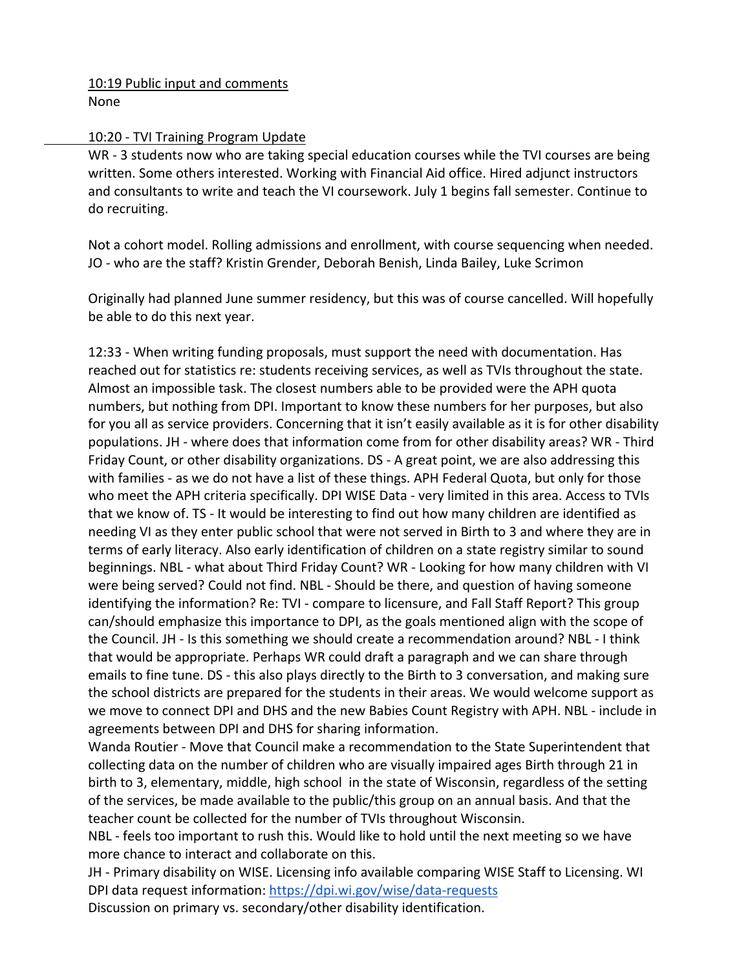10:19 Public input and comments None

#### 10:20 ‐ TVI Training Program Update

WR - 3 students now who are taking special education courses while the TVI courses are being written. Some others interested. Working with Financial Aid office. Hired adjunct instructors and consultants to write and teach the VI coursework. July 1 begins fall semester. Continue to do recruiting.

 Not a cohort model. Rolling admissions and enrollment, with course sequencing when needed. JO ‐ who are the staff? Kristin Grender, Deborah Benish, Linda Bailey, Luke Scrimon

 Originally had planned June summer residency, but this was of course cancelled. Will hopefully be able to do this next year.

 12:33 ‐ When writing funding proposals, must support the need with documentation. Has reached out for statistics re: students receiving services, as well as TVIs throughout the state. Almost an impossible task. The closest numbers able to be provided were the APH quota numbers, but nothing from DPI. Important to know these numbers for her purposes, but also for you all as service providers. Concerning that it isn't easily available as it is for other disability populations. JH ‐ where does that information come from for other disability areas? WR ‐ Third Friday Count, or other disability organizations. DS ‐ A great point, we are also addressing this with families - as we do not have a list of these things. APH Federal Quota, but only for those who meet the APH criteria specifically. DPI WISE Data ‐ very limited in this area. Access to TVIs that we know of. TS ‐ It would be interesting to find out how many children are identified as needing VI as they enter public school that were not served in Birth to 3 and where they are in terms of early literacy. Also early identification of children on a state registry similar to sound beginnings. NBL - what about Third Friday Count? WR - Looking for how many children with VI were being served? Could not find. NBL ‐ Should be there, and question of having someone identifying the information? Re: TVI ‐ compare to licensure, and Fall Staff Report? This group can/should emphasize this importance to DPI, as the goals mentioned align with the scope of the Council. JH ‐ Is this something we should create a recommendation around? NBL ‐ I think that would be appropriate. Perhaps WR could draft a paragraph and we can share through emails to fine tune. DS ‐ this also plays directly to the Birth to 3 conversation, and making sure the school districts are prepared for the students in their areas. We would welcome support as we move to connect DPI and DHS and the new Babies Count Registry with APH. NBL ‐ include in agreements between DPI and DHS for sharing information.

 Wanda Routier ‐ Move that Council make a recommendation to the State Superintendent that collecting data on the number of children who are visually impaired ages Birth through 21 in birth to 3, elementary, middle, high school in the state of Wisconsin, regardless of the setting of the services, be made available to the public/this group on an annual basis. And that the teacher count be collected for the number of TVIs throughout Wisconsin.

NBL - feels too important to rush this. Would like to hold until the next meeting so we have more chance to interact and collaborate on this.

 JH ‐ Primary disability on WISE. Licensing info available comparing WISE Staff to Licensing. WI DPI data request information: https://dpi.wi.gov/wise/data‐requests Discussion on primary vs. secondary/other disability identification.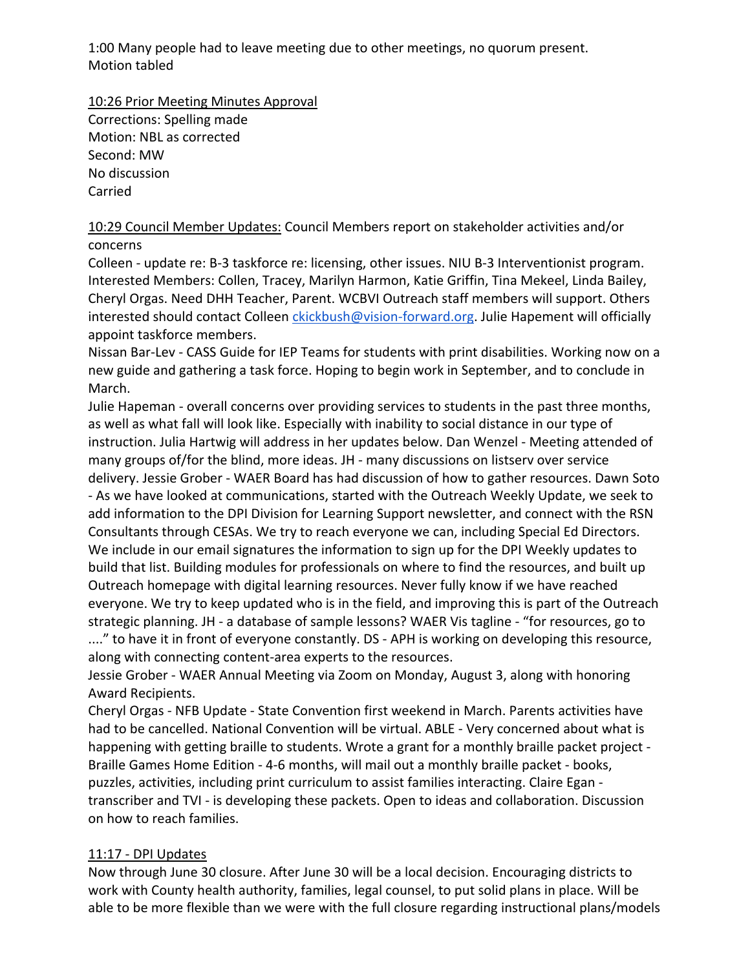1:00 Many people had to leave meeting due to other meetings, no quorum present. Motion tabled

10:26 Prior Meeting Minutes Approval

Corrections: Spelling made Motion: NBL as corrected Second: MW No discussion Carried

10:29 Council Member Updates: Council Members report on stakeholder activities and/or concerns

Colleen ‐ update re: B‐3 taskforce re: licensing, other issues. NIU B‐3 Interventionist program. Interested Members: Collen, Tracey, Marilyn Harmon, Katie Griffin, Tina Mekeel, Linda Bailey, Cheryl Orgas. Need DHH Teacher, Parent. WCBVI Outreach staff members will support. Others interested should contact Colleen ckickbush@vision-forward.org. Julie Hapement will officially appoint taskforce members.

Nissan Bar‐Lev ‐ CASS Guide for IEP Teams for students with print disabilities. Working now on a new guide and gathering a task force. Hoping to begin work in September, and to conclude in March.

Julie Hapeman ‐ overall concerns over providing services to students in the past three months, as well as what fall will look like. Especially with inability to social distance in our type of instruction. Julia Hartwig will address in her updates below. Dan Wenzel ‐ Meeting attended of many groups of/for the blind, more ideas. JH ‐ many discussions on listserv over service delivery. Jessie Grober ‐ WAER Board has had discussion of how to gather resources. Dawn Soto ‐ As we have looked at communications, started with the Outreach Weekly Update, we seek to add information to the DPI Division for Learning Support newsletter, and connect with the RSN Consultants through CESAs. We try to reach everyone we can, including Special Ed Directors. We include in our email signatures the information to sign up for the DPI Weekly updates to build that list. Building modules for professionals on where to find the resources, and built up Outreach homepage with digital learning resources. Never fully know if we have reached everyone. We try to keep updated who is in the field, and improving this is part of the Outreach strategic planning. JH ‐ a database of sample lessons? WAER Vis tagline ‐ "for resources, go to ...." to have it in front of everyone constantly. DS - APH is working on developing this resource, along with connecting content‐area experts to the resources.

Jessie Grober ‐ WAER Annual Meeting via Zoom on Monday, August 3, along with honoring Award Recipients.

Cheryl Orgas ‐ NFB Update ‐ State Convention first weekend in March. Parents activities have had to be cancelled. National Convention will be virtual. ABLE - Very concerned about what is happening with getting braille to students. Wrote a grant for a monthly braille packet project -Braille Games Home Edition ‐ 4‐6 months, will mail out a monthly braille packet ‐ books, puzzles, activities, including print curriculum to assist families interacting. Claire Egan ‐ transcriber and TVI ‐ is developing these packets. Open to ideas and collaboration. Discussion on how to reach families.

## 11:17 ‐ DPI Updates

Now through June 30 closure. After June 30 will be a local decision. Encouraging districts to work with County health authority, families, legal counsel, to put solid plans in place. Will be able to be more flexible than we were with the full closure regarding instructional plans/models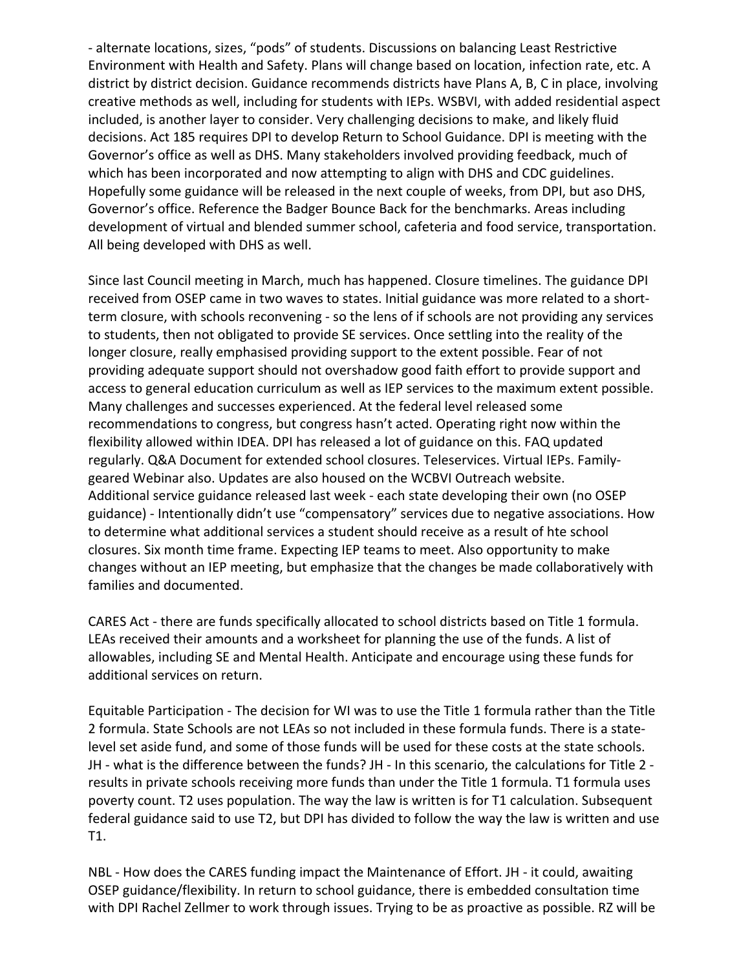‐ alternate locations, sizes, "pods" of students. Discussions on balancing Least Restrictive Environment with Health and Safety. Plans will change based on location, infection rate, etc. A district by district decision. Guidance recommends districts have Plans A, B, C in place, involving creative methods as well, including for students with IEPs. WSBVI, with added residential aspect included, is another layer to consider. Very challenging decisions to make, and likely fluid decisions. Act 185 requires DPI to develop Return to School Guidance. DPI is meeting with the Governor's office as well as DHS. Many stakeholders involved providing feedback, much of which has been incorporated and now attempting to align with DHS and CDC guidelines. Hopefully some guidance will be released in the next couple of weeks, from DPI, but aso DHS, Governor's office. Reference the Badger Bounce Back for the benchmarks. Areas including development of virtual and blended summer school, cafeteria and food service, transportation. All being developed with DHS as well.

Since last Council meeting in March, much has happened. Closure timelines. The guidance DPI received from OSEP came in two waves to states. Initial guidance was more related to a short‐ term closure, with schools reconvening ‐ so the lens of if schools are not providing any services to students, then not obligated to provide SE services. Once settling into the reality of the longer closure, really emphasised providing support to the extent possible. Fear of not providing adequate support should not overshadow good faith effort to provide support and access to general education curriculum as well as IEP services to the maximum extent possible. Many challenges and successes experienced. At the federal level released some recommendations to congress, but congress hasn't acted. Operating right now within the flexibility allowed within IDEA. DPI has released a lot of guidance on this. FAQ updated regularly. Q&A Document for extended school closures. Teleservices. Virtual IEPs. Family‐ geared Webinar also. Updates are also housed on the WCBVI Outreach website. Additional service guidance released last week ‐ each state developing their own (no OSEP guidance) ‐ Intentionally didn't use "compensatory" services due to negative associations. How to determine what additional services a student should receive as a result of hte school closures. Six month time frame. Expecting IEP teams to meet. Also opportunity to make changes without an IEP meeting, but emphasize that the changes be made collaboratively with families and documented.

CARES Act ‐ there are funds specifically allocated to school districts based on Title 1 formula. LEAs received their amounts and a worksheet for planning the use of the funds. A list of allowables, including SE and Mental Health. Anticipate and encourage using these funds for additional services on return.

Equitable Participation ‐ The decision for WI was to use the Title 1 formula rather than the Title 2 formula. State Schools are not LEAs so not included in these formula funds. There is a state‐ level set aside fund, and some of those funds will be used for these costs at the state schools. JH ‐ what is the difference between the funds? JH ‐ In this scenario, the calculations for Title 2 ‐ results in private schools receiving more funds than under the Title 1 formula. T1 formula uses poverty count. T2 uses population. The way the law is written is for T1 calculation. Subsequent federal guidance said to use T2, but DPI has divided to follow the way the law is written and use T1.

NBL - How does the CARES funding impact the Maintenance of Effort. JH - it could, awaiting OSEP guidance/flexibility. In return to school guidance, there is embedded consultation time with DPI Rachel Zellmer to work through issues. Trying to be as proactive as possible. RZ will be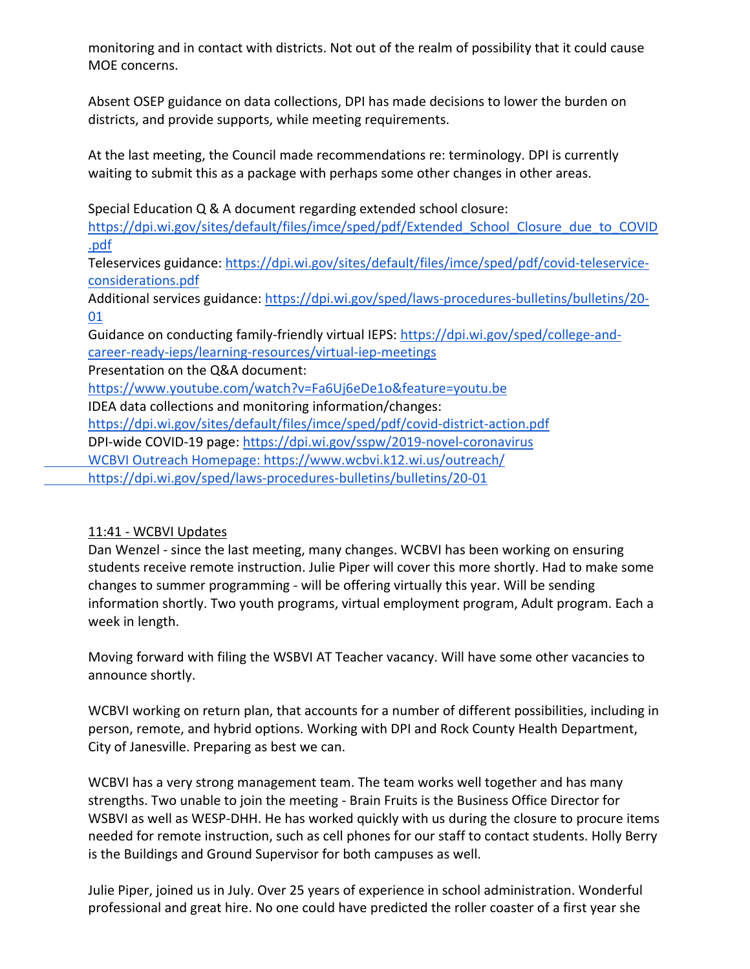monitoring and in contact with districts. Not out of the realm of possibility that it could cause MOE concerns.

Absent OSEP guidance on data collections, DPI has made decisions to lower the burden on districts, and provide supports, while meeting requirements.

At the last meeting, the Council made recommendations re: terminology. DPI is currently waiting to submit this as a package with perhaps some other changes in other areas.

Special Education Q & A document regarding extended school closure:

https://dpi.wi.gov/sites/default/files/imce/sped/pdf/Extended\_School\_Closure\_due\_to\_COVID .pdf

 Teleservices guidance: https://dpi.wi.gov/sites/default/files/imce/sped/pdf/covid‐teleservice‐ considerations.pdf

Additional services guidance: https://dpi.wi.gov/sped/laws-procedures-bulletins/bulletins/20-01

 Guidance on conducting family‐friendly virtual IEPS: https://dpi.wi.gov/sped/college‐and‐ career‐ready‐ieps/learning‐resources/virtual‐iep‐meetings

Presentation on the Q&A document:

https://www.youtube.com/watch?v=Fa6Uj6eDe1o&feature=youtu.be

IDEA data collections and monitoring information/changes:

https://dpi.wi.gov/sites/default/files/imce/sped/pdf/covid‐district‐action.pdf

DPI‐wide COVID‐19 page: https://dpi.wi.gov/sspw/2019‐novel‐coronavirus

WCBVI Outreach Homepage: https://www.wcbvi.k12.wi.us/outreach/

https://dpi.wi.gov/sped/laws‐procedures‐bulletins/bulletins/20‐01

# 11:41 ‐ WCBVI Updates

 Dan Wenzel ‐ since the last meeting, many changes. WCBVI has been working on ensuring students receive remote instruction. Julie Piper will cover this more shortly. Had to make some changes to summer programming ‐ will be offering virtually this year. Will be sending information shortly. Two youth programs, virtual employment program, Adult program. Each a week in length.

 Moving forward with filing the WSBVI AT Teacher vacancy. Will have some other vacancies to announce shortly.

 WCBVI working on return plan, that accounts for a number of different possibilities, including in person, remote, and hybrid options. Working with DPI and Rock County Health Department, City of Janesville. Preparing as best we can.

 WCBVI has a very strong management team. The team works well together and has many strengths. Two unable to join the meeting ‐ Brain Fruits is the Business Office Director for WSBVI as well as WESP‐DHH. He has worked quickly with us during the closure to procure items needed for remote instruction, such as cell phones for our staff to contact students. Holly Berry is the Buildings and Ground Supervisor for both campuses as well.

 Julie Piper, joined us in July. Over 25 years of experience in school administration. Wonderful professional and great hire. No one could have predicted the roller coaster of a first year she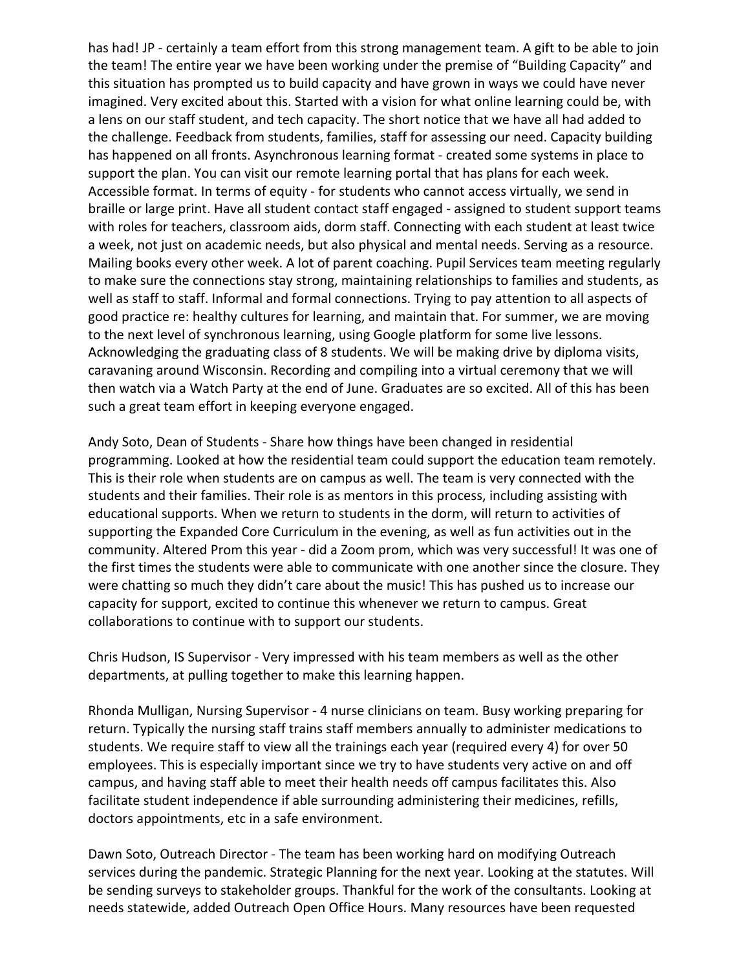has had! JP - certainly a team effort from this strong management team. A gift to be able to join the team! The entire year we have been working under the premise of "Building Capacity" and this situation has prompted us to build capacity and have grown in ways we could have never imagined. Very excited about this. Started with a vision for what online learning could be, with a lens on our staff student, and tech capacity. The short notice that we have all had added to the challenge. Feedback from students, families, staff for assessing our need. Capacity building has happened on all fronts. Asynchronous learning format - created some systems in place to support the plan. You can visit our remote learning portal that has plans for each week. Accessible format. In terms of equity ‐ for students who cannot access virtually, we send in braille or large print. Have all student contact staff engaged ‐ assigned to student support teams with roles for teachers, classroom aids, dorm staff. Connecting with each student at least twice a week, not just on academic needs, but also physical and mental needs. Serving as a resource. Mailing books every other week. A lot of parent coaching. Pupil Services team meeting regularly to make sure the connections stay strong, maintaining relationships to families and students, as well as staff to staff. Informal and formal connections. Trying to pay attention to all aspects of good practice re: healthy cultures for learning, and maintain that. For summer, we are moving to the next level of synchronous learning, using Google platform for some live lessons. Acknowledging the graduating class of 8 students. We will be making drive by diploma visits, caravaning around Wisconsin. Recording and compiling into a virtual ceremony that we will then watch via a Watch Party at the end of June. Graduates are so excited. All of this has been such a great team effort in keeping everyone engaged.

 Andy Soto, Dean of Students ‐ Share how things have been changed in residential programming. Looked at how the residential team could support the education team remotely. This is their role when students are on campus as well. The team is very connected with the students and their families. Their role is as mentors in this process, including assisting with educational supports. When we return to students in the dorm, will return to activities of supporting the Expanded Core Curriculum in the evening, as well as fun activities out in the community. Altered Prom this year ‐ did a Zoom prom, which was very successful! It was one of the first times the students were able to communicate with one another since the closure. They were chatting so much they didn't care about the music! This has pushed us to increase our capacity for support, excited to continue this whenever we return to campus. Great collaborations to continue with to support our students.

 Chris Hudson, IS Supervisor ‐ Very impressed with his team members as well as the other departments, at pulling together to make this learning happen.

 Rhonda Mulligan, Nursing Supervisor ‐ 4 nurse clinicians on team. Busy working preparing for return. Typically the nursing staff trains staff members annually to administer medications to students. We require staff to view all the trainings each year (required every 4) for over 50 employees. This is especially important since we try to have students very active on and off campus, and having staff able to meet their health needs off campus facilitates this. Also facilitate student independence if able surrounding administering their medicines, refills, doctors appointments, etc in a safe environment.

 Dawn Soto, Outreach Director ‐ The team has been working hard on modifying Outreach services during the pandemic. Strategic Planning for the next year. Looking at the statutes. Will be sending surveys to stakeholder groups. Thankful for the work of the consultants. Looking at needs statewide, added Outreach Open Office Hours. Many resources have been requested